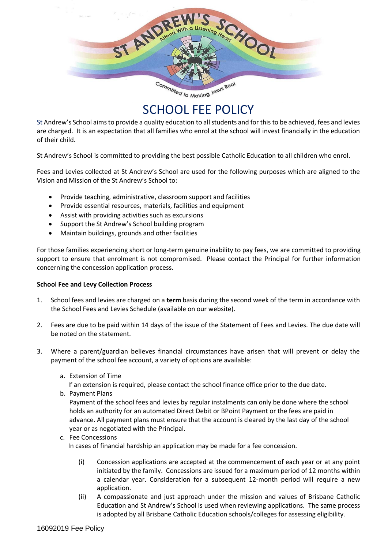

# SCHOOL FEE POLICY

St Andrew's School aims to provide a quality education to all students and for this to be achieved, fees and levies are charged. It is an expectation that all families who enrol at the school will invest financially in the education of their child.

St Andrew's School is committed to providing the best possible Catholic Education to all children who enrol.

Fees and Levies collected at St Andrew's School are used for the following purposes which are aligned to the Vision and Mission of the St Andrew's School to:

- Provide teaching, administrative, classroom support and facilities
- Provide essential resources, materials, facilities and equipment
- Assist with providing activities such as excursions
- Support the St Andrew's School building program
- Maintain buildings, grounds and other facilities

For those families experiencing short or long-term genuine inability to pay fees, we are committed to providing support to ensure that enrolment is not compromised. Please contact the Principal for further information concerning the concession application process.

#### **School Fee and Levy Collection Process**

- 1. School fees and levies are charged on a **term** basis during the second week of the term in accordance with the School Fees and Levies Schedule (available on our website).
- 2. Fees are due to be paid within 14 days of the issue of the Statement of Fees and Levies. The due date will be noted on the statement.
- 3. Where a parent/guardian believes financial circumstances have arisen that will prevent or delay the payment of the school fee account, a variety of options are available:
	- a. Extension of Time

If an extension is required, please contact the school finance office prior to the due date.

b. Payment Plans

Payment of the school fees and levies by regular instalments can only be done where the school holds an authority for an automated Direct Debit or BPoint Payment or the fees are paid in advance. All payment plans must ensure that the account is cleared by the last day of the school year or as negotiated with the Principal.

c. Fee Concessions

In cases of financial hardship an application may be made for a fee concession.

- (i) Concession applications are accepted at the commencement of each year or at any point initiated by the family. Concessions are issued for a maximum period of 12 months within a calendar year. Consideration for a subsequent 12-month period will require a new application.
- (ii) A compassionate and just approach under the mission and values of Brisbane Catholic Education and St Andrew's School is used when reviewing applications. The same process is adopted by all Brisbane Catholic Education schools/colleges for assessing eligibility.